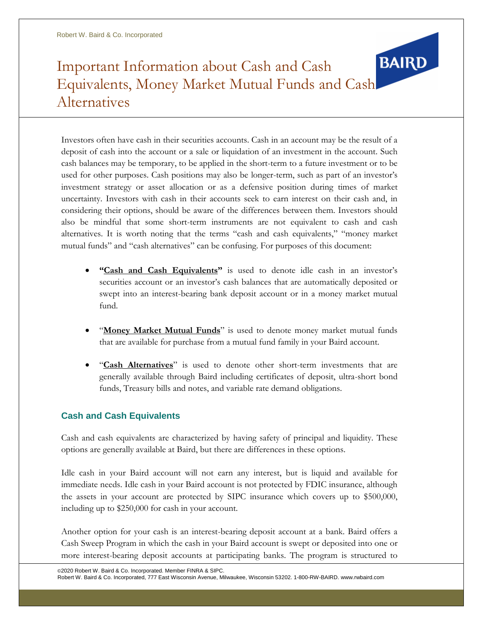# **BAIRD** Important Information about Cash and Cash Equivalents, Money Market Mutual Funds and Cash Alternatives

Investors often have cash in their securities accounts. Cash in an account may be the result of a deposit of cash into the account or a sale or liquidation of an investment in the account. Such cash balances may be temporary, to be applied in the short-term to a future investment or to be used for other purposes. Cash positions may also be longer-term, such as part of an investor's investment strategy or asset allocation or as a defensive position during times of market uncertainty. Investors with cash in their accounts seek to earn interest on their cash and, in considering their options, should be aware of the differences between them. Investors should also be mindful that some short-term instruments are not equivalent to cash and cash alternatives. It is worth noting that the terms "cash and cash equivalents," "money market mutual funds" and "cash alternatives" can be confusing. For purposes of this document:

- **"Cash and Cash Equivalents"** is used to denote idle cash in an investor's securities account or an investor's cash balances that are automatically deposited or swept into an interest-bearing bank deposit account or in a money market mutual fund.
- "**Money Market Mutual Funds**" is used to denote money market mutual funds that are available for purchase from a mutual fund family in your Baird account.
- "**Cash Alternatives**" is used to denote other short-term investments that are generally available through Baird including certificates of deposit, ultra-short bond funds, Treasury bills and notes, and variable rate demand obligations.

# **Cash and Cash Equivalents**

Cash and cash equivalents are characterized by having safety of principal and liquidity. These options are generally available at Baird, but there are differences in these options.

Idle cash in your Baird account will not earn any interest, but is liquid and available for immediate needs. Idle cash in your Baird account is not protected by FDIC insurance, although the assets in your account are protected by SIPC insurance which covers up to \$500,000, including up to \$250,000 for cash in your account.

Another option for your cash is an interest-bearing deposit account at a bank. Baird offers a Cash Sweep Program in which the cash in your Baird account is swept or deposited into one or more interest-bearing deposit accounts at participating banks. The program is structured to

©2020 Robert W. Baird & Co. Incorporated. Member FINRA & SIPC. Robert W. Baird & Co. Incorporated, 777 East Wisconsin Avenue, Milwaukee, Wisconsin 53202. 1-800-RW-BAIRD[. www.rwbaird.com](http://www.rwbaird.com/)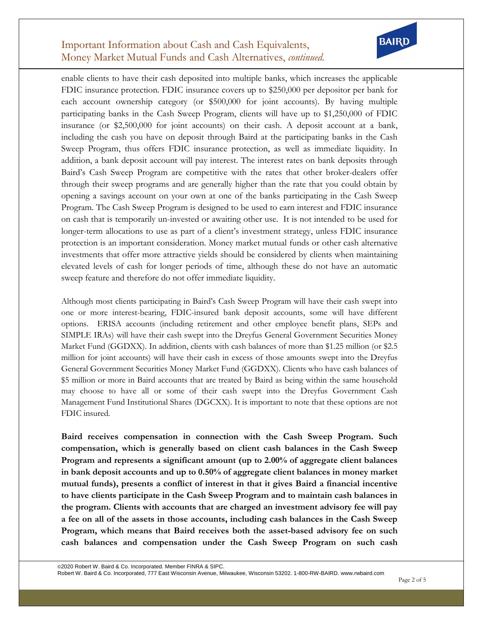## Important Information about Cash and Cash Equivalents, Money Market Mutual Funds and Cash Alternatives, *continued.*



enable clients to have their cash deposited into multiple banks, which increases the applicable FDIC insurance protection. FDIC insurance covers up to \$250,000 per depositor per bank for each account ownership category (or \$500,000 for joint accounts). By having multiple participating banks in the Cash Sweep Program, clients will have up to \$1,250,000 of FDIC insurance (or \$2,500,000 for joint accounts) on their cash. A deposit account at a bank, including the cash you have on deposit through Baird at the participating banks in the Cash Sweep Program, thus offers FDIC insurance protection, as well as immediate liquidity. In addition, a bank deposit account will pay interest. The interest rates on bank deposits through Baird's Cash Sweep Program are competitive with the rates that other broker-dealers offer through their sweep programs and are generally higher than the rate that you could obtain by opening a savings account on your own at one of the banks participating in the Cash Sweep Program. The Cash Sweep Program is designed to be used to earn interest and FDIC insurance on cash that is temporarily un-invested or awaiting other use. It is not intended to be used for longer-term allocations to use as part of a client's investment strategy, unless FDIC insurance protection is an important consideration. Money market mutual funds or other cash alternative investments that offer more attractive yields should be considered by clients when maintaining elevated levels of cash for longer periods of time, although these do not have an automatic sweep feature and therefore do not offer immediate liquidity.

Although most clients participating in Baird's Cash Sweep Program will have their cash swept into one or more interest-bearing, FDIC-insured bank deposit accounts, some will have different options. ERISA accounts (including retirement and other employee benefit plans, SEPs and SIMPLE IRAs) will have their cash swept into the Dreyfus General Government Securities Money Market Fund (GGDXX). In addition, clients with cash balances of more than \$1.25 million (or \$2.5 million for joint accounts) will have their cash in excess of those amounts swept into the Dreyfus General Government Securities Money Market Fund (GGDXX). Clients who have cash balances of \$5 million or more in Baird accounts that are treated by Baird as being within the same household may choose to have all or some of their cash swept into the Dreyfus Government Cash Management Fund Institutional Shares (DGCXX). It is important to note that these options are not FDIC insured.

**Baird receives compensation in connection with the Cash Sweep Program. Such compensation, which is generally based on client cash balances in the Cash Sweep Program and represents a significant amount (up to 2.00% of aggregate client balances in bank deposit accounts and up to 0.50% of aggregate client balances in money market mutual funds), presents a conflict of interest in that it gives Baird a financial incentive to have clients participate in the Cash Sweep Program and to maintain cash balances in the program. Clients with accounts that are charged an investment advisory fee will pay a fee on all of the assets in those accounts, including cash balances in the Cash Sweep Program, which means that Baird receives both the asset-based advisory fee on such cash balances and compensation under the Cash Sweep Program on such cash**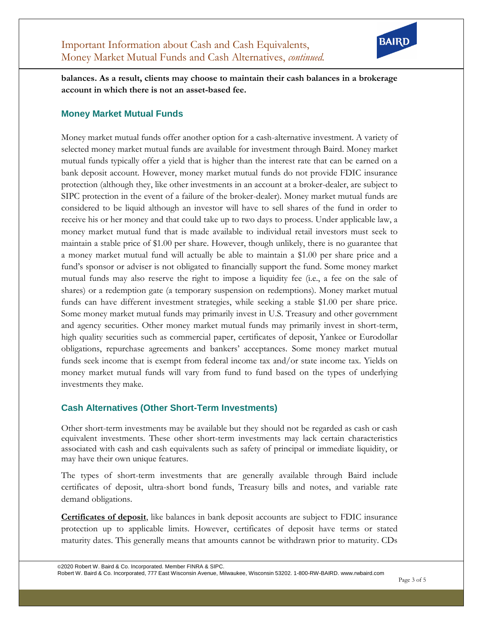

**balances. As a result, clients may choose to maintain their cash balances in a brokerage account in which there is not an asset-based fee.**

### **Money Market Mutual Funds**

Money market mutual funds offer another option for a cash-alternative investment. A variety of selected money market mutual funds are available for investment through Baird. Money market mutual funds typically offer a yield that is higher than the interest rate that can be earned on a bank deposit account. However, money market mutual funds do not provide FDIC insurance protection (although they, like other investments in an account at a broker-dealer, are subject to SIPC protection in the event of a failure of the broker-dealer). Money market mutual funds are considered to be liquid although an investor will have to sell shares of the fund in order to receive his or her money and that could take up to two days to process. Under applicable law, a money market mutual fund that is made available to individual retail investors must seek to maintain a stable price of \$1.00 per share. However, though unlikely, there is no guarantee that a money market mutual fund will actually be able to maintain a \$1.00 per share price and a fund's sponsor or adviser is not obligated to financially support the fund. Some money market mutual funds may also reserve the right to impose a liquidity fee (i.e., a fee on the sale of shares) or a redemption gate (a temporary suspension on redemptions). Money market mutual funds can have different investment strategies, while seeking a stable \$1.00 per share price. Some money market mutual funds may primarily invest in U.S. Treasury and other government and agency securities. Other money market mutual funds may primarily invest in short-term, high quality securities such as commercial paper, certificates of deposit, Yankee or Eurodollar obligations, repurchase agreements and bankers' acceptances. Some money market mutual funds seek income that is exempt from federal income tax and/or state income tax. Yields on money market mutual funds will vary from fund to fund based on the types of underlying investments they make.

### **Cash Alternatives (Other Short-Term Investments)**

Other short-term investments may be available but they should not be regarded as cash or cash equivalent investments. These other short-term investments may lack certain characteristics associated with cash and cash equivalents such as safety of principal or immediate liquidity, or may have their own unique features.

The types of short-term investments that are generally available through Baird include certificates of deposit, ultra-short bond funds, Treasury bills and notes, and variable rate demand obligations.

**Certificates of deposit**, like balances in bank deposit accounts are subject to FDIC insurance protection up to applicable limits. However, certificates of deposit have terms or stated maturity dates. This generally means that amounts cannot be withdrawn prior to maturity. CDs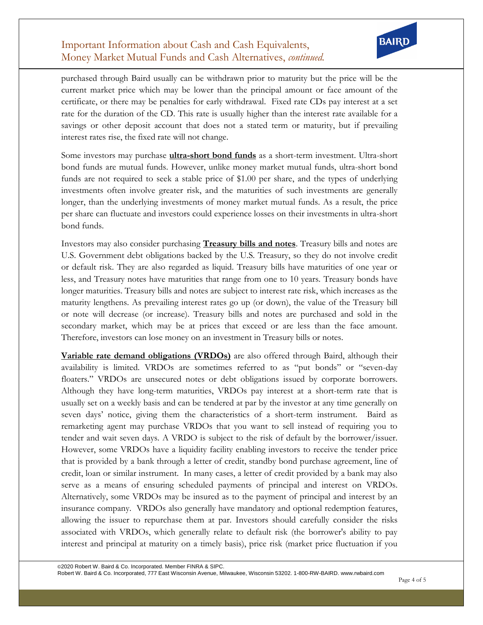# Important Information about Cash and Cash Equivalents, Money Market Mutual Funds and Cash Alternatives, *continued.*



purchased through Baird usually can be withdrawn prior to maturity but the price will be the current market price which may be lower than the principal amount or face amount of the certificate, or there may be penalties for early withdrawal. Fixed rate CDs pay interest at a set rate for the duration of the CD. This rate is usually higher than the interest rate available for a savings or other deposit account that does not a stated term or maturity, but if prevailing interest rates rise, the fixed rate will not change.

Some investors may purchase **ultra-short bond funds** as a short-term investment. Ultra-short bond funds are mutual funds. However, unlike money market mutual funds, ultra-short bond funds are not required to seek a stable price of \$1.00 per share, and the types of underlying investments often involve greater risk, and the maturities of such investments are generally longer, than the underlying investments of money market mutual funds. As a result, the price per share can fluctuate and investors could experience losses on their investments in ultra-short bond funds.

Investors may also consider purchasing **Treasury bills and notes**. Treasury bills and notes are U.S. Government debt obligations backed by the U.S. Treasury, so they do not involve credit or default risk. They are also regarded as liquid. Treasury bills have maturities of one year or less, and Treasury notes have maturities that range from one to 10 years. Treasury bonds have longer maturities. Treasury bills and notes are subject to interest rate risk, which increases as the maturity lengthens. As prevailing interest rates go up (or down), the value of the Treasury bill or note will decrease (or increase). Treasury bills and notes are purchased and sold in the secondary market, which may be at prices that exceed or are less than the face amount. Therefore, investors can lose money on an investment in Treasury bills or notes.

**Variable rate demand obligations (VRDOs)** are also offered through Baird, although their availability is limited. VRDOs are sometimes referred to as "put bonds" or "seven-day floaters." VRDOs are unsecured notes or debt obligations issued by corporate borrowers. Although they have long-term maturities, VRDOs pay interest at a short-term rate that is usually set on a weekly basis and can be tendered at par by the investor at any time generally on seven days' notice, giving them the characteristics of a short-term instrument. Baird as remarketing agent may purchase VRDOs that you want to sell instead of requiring you to tender and wait seven days. A VRDO is subject to the risk of default by the borrower/issuer. However, some VRDOs have a liquidity facility enabling investors to receive the tender price that is provided by a bank through a letter of credit, standby bond purchase agreement, line of credit, loan or similar instrument. In many cases, a letter of credit provided by a bank may also serve as a means of ensuring scheduled payments of principal and interest on VRDOs. Alternatively, some VRDOs may be insured as to the payment of principal and interest by an insurance company. VRDOs also generally have mandatory and optional redemption features, allowing the issuer to repurchase them at par. Investors should carefully consider the risks associated with VRDOs, which generally relate to default risk (the borrower's ability to pay interest and principal at maturity on a timely basis), price risk (market price fluctuation if you